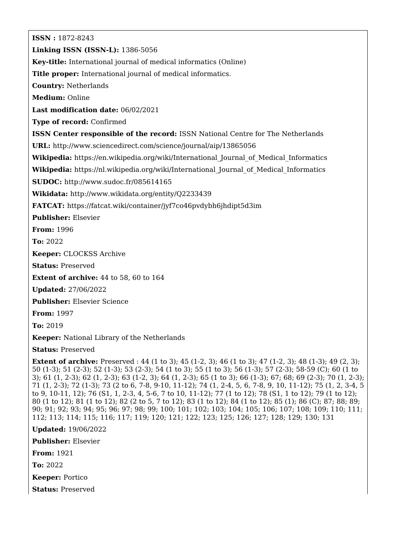**ISSN :** 1872-8243 **Linking ISSN (ISSN-L):** 1386-5056 **Key-title:** International journal of medical informatics (Online) **Title proper:** International journal of medical informatics. **Country:** Netherlands **Medium:** Online **Last modification date:** 06/02/2021 **Type of record:** Confirmed **ISSN Center responsible of the record:** ISSN National Centre for The Netherlands **URL:** <http://www.sciencedirect.com/science/journal/aip/13865056> **Wikipedia:** [https://en.wikipedia.org/wiki/International\\_Journal\\_of\\_Medical\\_Informatics](https://en.wikipedia.org/wiki/International_Journal_of_Medical_Informatics) **Wikipedia:** [https://nl.wikipedia.org/wiki/International\\_Journal\\_of\\_Medical\\_Informatics](https://nl.wikipedia.org/wiki/International_Journal_of_Medical_Informatics) **SUDOC:** <http://www.sudoc.fr/085614165> **Wikidata:** <http://www.wikidata.org/entity/Q2233439> **FATCAT:** <https://fatcat.wiki/container/jyf7co46pvdybh6jhdipt5d3im> **Publisher:** Elsevier **From:** 1996 **To:** 2022 **Keeper:** CLOCKSS Archive **Status:** Preserved **Extent of archive:** 44 to 58, 60 to 164 **Updated:** 27/06/2022 **Publisher:** Elsevier Science

**From:** 1997

**To:** 2019

**Keeper:** National Library of the Netherlands

**Status:** Preserved

**Extent of archive:** Preserved : 44 (1 to 3); 45 (1-2, 3); 46 (1 to 3); 47 (1-2, 3); 48 (1-3); 49 (2, 3); 50 (1-3); 51 (2-3); 52 (1-3); 53 (2-3); 54 (1 to 3); 55 (1 to 3); 56 (1-3); 57 (2-3); 58-59 (C); 60 (1 to 3); 61 (1, 2-3); 62 (1, 2-3); 63 (1-2, 3); 64 (1, 2-3); 65 (1 to 3); 66 (1-3); 67; 68; 69 (2-3); 70 (1, 2-3); 71 (1, 2-3); 72 (1-3); 73 (2 to 6, 7-8, 9-10, 11-12); 74 (1, 2-4, 5, 6, 7-8, 9, 10, 11-12); 75 (1, 2, 3-4, 5 to 9, 10-11, 12); 76 (S1, 1, 2-3, 4, 5-6, 7 to 10, 11-12); 77 (1 to 12); 78 (S1, 1 to 12); 79 (1 to 12); 80 (1 to 12); 81 (1 to 12); 82 (2 to 5, 7 to 12); 83 (1 to 12); 84 (1 to 12); 85 (1); 86 (C); 87; 88; 89; 90; 91; 92; 93; 94; 95; 96; 97; 98; 99; 100; 101; 102; 103; 104; 105; 106; 107; 108; 109; 110; 111; 112; 113; 114; 115; 116; 117; 119; 120; 121; 122; 123; 125; 126; 127; 128; 129; 130; 131

**Updated:** 19/06/2022

**Publisher:** Elsevier

**From:** 1921

**To:** 2022

**Keeper:** Portico

**Status:** Preserved